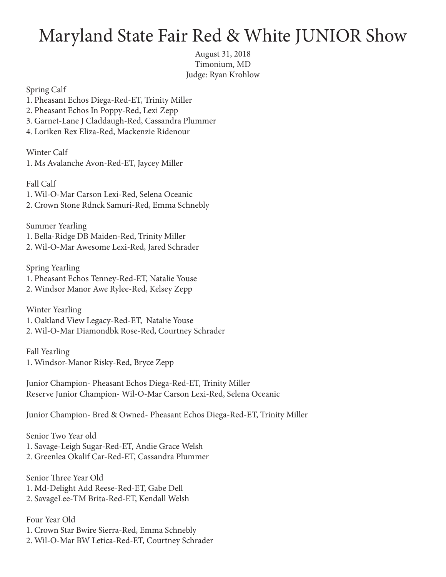## Maryland State Fair Red & White JUNIOR Show

August 31, 2018 Timonium, MD Judge: Ryan Krohlow

Spring Calf

- 1. Pheasant Echos Diega-Red-ET, Trinity Miller
- 2. Pheasant Echos In Poppy-Red, Lexi Zepp
- 3. Garnet-Lane J Claddaugh-Red, Cassandra Plummer
- 4. Loriken Rex Eliza-Red, Mackenzie Ridenour

Winter Calf 1. Ms Avalanche Avon-Red-ET, Jaycey Miller

Fall Calf 1. Wil-O-Mar Carson Lexi-Red, Selena Oceanic 2. Crown Stone Rdnck Samuri-Red, Emma Schnebly

Summer Yearling 1. Bella-Ridge DB Maiden-Red, Trinity Miller 2. Wil-O-Mar Awesome Lexi-Red, Jared Schrader

Spring Yearling 1. Pheasant Echos Tenney-Red-ET, Natalie Youse 2. Windsor Manor Awe Rylee-Red, Kelsey Zepp

Winter Yearling 1. Oakland View Legacy-Red-ET, Natalie Youse 2. Wil-O-Mar Diamondbk Rose-Red, Courtney Schrader

Fall Yearling 1. Windsor-Manor Risky-Red, Bryce Zepp

Junior Champion- Pheasant Echos Diega-Red-ET, Trinity Miller Reserve Junior Champion- Wil-O-Mar Carson Lexi-Red, Selena Oceanic

Junior Champion- Bred & Owned- Pheasant Echos Diega-Red-ET, Trinity Miller

Senior Two Year old 1. Savage-Leigh Sugar-Red-ET, Andie Grace Welsh 2. Greenlea Okalif Car-Red-ET, Cassandra Plummer

Senior Three Year Old 1. Md-Delight Add Reese-Red-ET, Gabe Dell 2. SavageLee-TM Brita-Red-ET, Kendall Welsh

Four Year Old 1. Crown Star Bwire Sierra-Red, Emma Schnebly 2. Wil-O-Mar BW Letica-Red-ET, Courtney Schrader